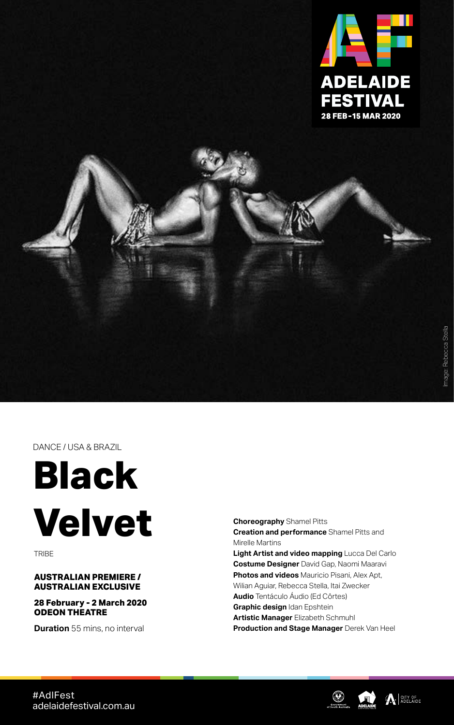

DANCE / USA & BRAZIL



TRIBE

## **AUSTRALIAN PREMIERE / AUSTRALIAN EXCLUSIVE**

**28 February - 2 March 2020 ODEON THEATRE**

**Duration** 55 mins, no interval

**Choreography** Shamel Pitts **Creation and performance** Shamel Pitts and Mirelle Martins **Light Artist and video mapping** Lucca Del Carlo **Costume Designer** David Gap, Naomi Maaravi **Photos and videos** Mauricio Pisani, Alex Apt,

Wilian Aguiar, Rebecca Stella, Itai Zwecker **Audio** Tentáculo Áudio (Ed Côrtes)

**Graphic design** Idan Epshtein

**Artistic Manager** Elizabeth Schmuhl

**Production and Stage Manager** Derek Van Heel